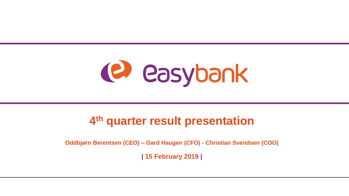

# **4 th quarter result presentation**

**Oddbjørn Berentsen (CEO) – Gard Haugen (CFO) - Christian Svendsen (COO)**

**| 15 February 2019 |**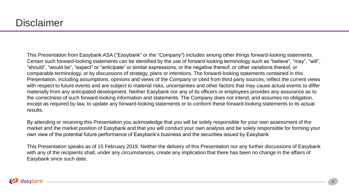This Presentation from Easybank ASA ("Easybank" or the "Company") includes among other things forward-looking statements. Certain such forward-looking statements can be identified by the use of forward-looking terminology such as "believe", "may", "will", "should", "would be", "expect" or "anticipate" or similar expressions, or the negative thereof, or other variations thereof, or comparable terminology, or by discussions of strategy, plans or intentions. The forward-looking statements contained in this Presentation, including assumptions, opinions and views of the Company or cited from third party sources, reflect the current views with respect to future events and are subject to material risks, uncertainties and other factors that may cause actual events to differ materially from any anticipated development. Neither Easybank nor any of its officers or employees provides any assurance as to the correctness of such forward-looking information and statements. The Company does not intend, and assumes no obligation, except as required by law, to update any forward-looking statements or to conform these forward-looking statements to its actual results.

By attending or receiving this Presentation you acknowledge that you will be solely responsible for your own assessment of the market and the market position of Easybank and that you will conduct your own analysis and be solely responsible for forming your own view of the potential future performance of Easybank's business and the securities issued by Easybank.

This Presentation speaks as of 15 February 2019. Neither the delivery of this Presentation nor any further discussions of Easybank with any of the recipients shall, under any circumstances, create any implication that there has been no change in the affairs of Easybank since such date.

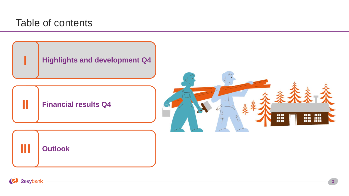# Table of contents



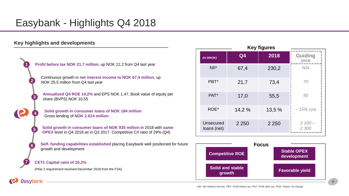# Easybank - Highlights Q4 2018

#### **Key highlights and developments**



| <b>Key figures</b>       |         |         |                          |  |  |  |
|--------------------------|---------|---------|--------------------------|--|--|--|
| $(n$ MNO $K$ )           | Q4      | 2018    | <b>Guiding</b><br>(2018) |  |  |  |
| $NII^*$                  | 67,4    | 230,2   | N/A                      |  |  |  |
| PBT <sup>*</sup>         | 21,7    | 73,4    | 70                       |  |  |  |
| PAT <sup>*</sup>         | 17,0    | 55,5    | 50                       |  |  |  |
| ROE*                     | 14,2%   | 13,5%   | $\sim$ 15% (Q4)          |  |  |  |
| Unsecured<br>loans (net) | 2 2 5 0 | 2 2 5 0 | $2100 -$<br>2 300        |  |  |  |



**4**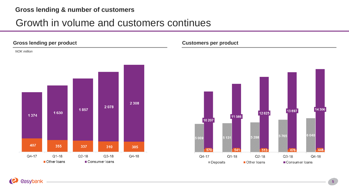### **Gross lending & number of customers**

## Growth in volume and customers continues





*<u>Casybank</u>*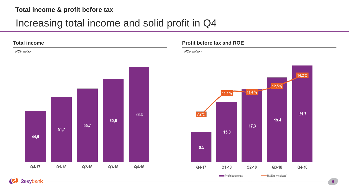### **Total income & profit before tax**

## Increasing total income and solid profit in Q4





**6**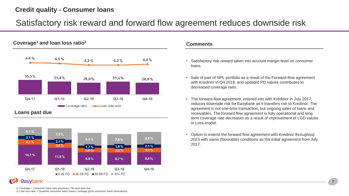### **Credit quality - Consumer loans**

### Satisfactory risk reward and forward flow agreement reduces downside risk

**Coverage<sup>1</sup> and loan loss ratio<sup>2</sup> Comments**





- Satisfactory risk-reward taken into account margin level on consumer loans.
- Sale of part of NPL portfolio as a result of the Forward-flow agreement with Kredinor in Q4 2018, and updated PD values contributes to decreased coverage ratio.
- The forward-flow agreement, entered into with Kredinor in July 2017, reduces downside risk for Easybank as it transfers risk to Kredinor. The agreement is not one-time transaction, but ongoing sales of loans and receivables. The forward flow agreement is fully operational and long term coverage rate decreases as a result of improvement of LGD values in Loss-model.
- Option to extend the forward flow agreement with Kredinor throughout 2023 with same (favorable) conditions as the initial agreement from July 2017.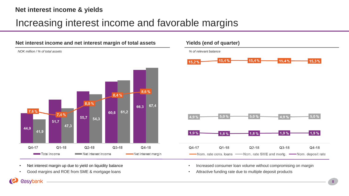### **Net interest income & yields**

## Increasing interest income and favorable margins



#### **Net interest income and net interest margin of total assets**

*<u>easybank</u>* 



• Good margins and ROE from SME & mortgage loans

#### **Yields (end of quarter)**



- Increased consumer loan volume without compromising on margin
- Attractive funding rate due to multiple deposit products

**8**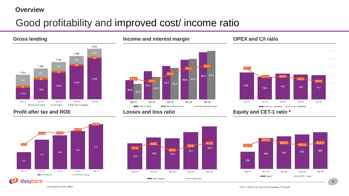#### **Overview**

# Good profitability and improved cost/ income ratio

2614 2 3 8 8  $45 -$ 2 1 9 4  $-49$ 1986  $\overline{54}$ 1781 58 2 3 0 8 2078 1857  $\sqrt{62}$ 1630 1 3 7 4 Q4-17  $Q1-18$  $Q2-18$  $Q3-18$  $Q4-18$ Consumer loans Carloans SME and mortgages









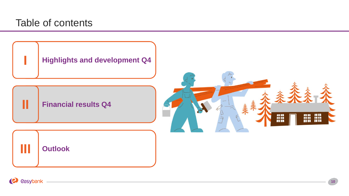# Table of contents



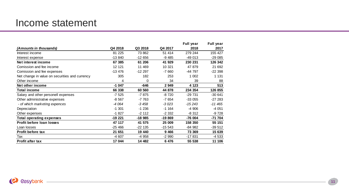### Income statement

|                                                |          |          |          | <b>Full year</b> | <b>Full year</b> |
|------------------------------------------------|----------|----------|----------|------------------|------------------|
| (Amounts in thousands)                         | Q4 2018  | Q3 2018  | Q4 2017  | 2018             | 2017             |
| Interest income                                | 81 225   | 73 862   | 51 414   | 279 244          | 155 427          |
| Interest expense                               | $-13840$ | -12 656  | $-9485$  | $-49013$         | $-29085$         |
| Net interest income                            | 67 385   | 61 206   | 41 929   | 230 231          | 126 342          |
| Comission and fee income                       | 12 121   | 11 469   | 10 321   | 47 879           | 21 692           |
| Comission and fee expenses                     | $-13476$ | $-12297$ | $-7660$  | -44 797          | $-22398$         |
| Net change in value on securities and currency | 305      | 182      | 253      | 1 0 0 2          | 1 1 3 1          |
| Other income                                   | 4        | 0        | 34       | 39               | 88               |
| Net other income                               | $-1047$  | -646     | 2949     | 4 1 2 3          | 513              |
| <b>Total income</b>                            | 66 338   | 60 560   | 44 878   | 234 354          | 126 855          |
| Salary and other personell expenses            | $-7525$  | $-7875$  | $-8720$  | $-29731$         | $-30641$         |
| Other administrative expenses                  | $-8567$  | -7 763   | -7 654   | $-33055$         | $-27283$         |
| - of which marketing expences                  | -4 064   | $-3458$  | $-3023$  | -15 243          | $-11465$         |
| Depreciation                                   | $-1.301$ | $-1236$  | $-1164$  | $-4906$          | -4 051           |
| Other expenses                                 | $-1827$  | $-2112$  | $-2332$  | $-8312$          | $-9728$          |
| <b>Total operating expenses</b>                | $-19221$ | $-18985$ | $-19869$ | -76 004          | -71 704          |
| Profit before loan losses                      | 47 117   | 41 575   | 25 009   | 158 350          | 55 151           |
| Loan losses                                    | $-25466$ | $-22135$ | $-15543$ | $-84982$         | $-39512$         |
| <b>Profit before tax</b>                       | 21 651   | 19 440   | 9466     | 73 369           | 15 639           |
| Tax                                            | -4 607   | -4 958   | $-2990$  | $-17831$         | -4 533           |
| Profit after tax                               | 17 044   | 14 482   | 6476     | 55 538           | 11 106           |

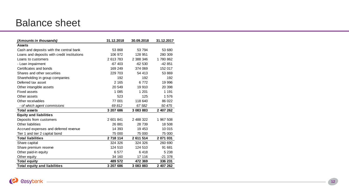## Balance sheet

| (Amounts in thousands)                      | 31.12.2018 | 30.09.2018 | 31.12.2017 |
|---------------------------------------------|------------|------------|------------|
| <b>Assets</b>                               |            |            |            |
| Cash and deposits with the central bank     | 53 868     | 53 794     | 53 680     |
| Loans and deposits with credit institutions | 106 972    | 128 951    | 280 309    |
| Loans to customers                          | 2 613 783  | 2 388 346  | 1780862    |
| - Loan impairment                           | $-67403$   | $-62530$   | $-42851$   |
| Certificates and bonds                      | 169 249    | 374 069    | 152 017    |
| Shares and other securities                 | 229 703    | 54 413     | 53 869     |
| Shareholding in group companies             | 192        | 192        | 192        |
| Deferred tax asset                          | 2 1 6 5    | 6772       | 19 996     |
| Other intangible assets                     | 20 549     | 19 910     | 20 398     |
| Fixed assets                                | 1 0 8 5    | 1 201      | 1 1 9 1    |
| Other assets                                | 523        | 125        | 1 576      |
| Other receivables                           | 77 001     | 118 640    | 86 022     |
| - of which agent commisions                 | 69 812     | 67 582     | 50 475     |
| <b>Total assets</b>                         | 3 207 686  | 3 083 883  | 2 407 262  |
| <b>Equity and liabilities</b>               |            |            |            |
| Deposits from customers                     | 2 601 841  | 2 488 322  | 1 967 508  |
| Other liabilities                           | 26 881     | 28 739     | 18 508     |
| Accrued expenses and deferred revenue       | 14 393     | 19 453     | 10 015     |
| Tier 1 and tier 2 capital bond              | 75 000     | 75 000     | 75 000     |
| <b>Total liabilities</b>                    | 2 718 114  | 2 611 514  | 2 071 031  |
| Share capital                               | 324 326    | 324 326    | 260 690    |
| Share premium reserve                       | 124 510    | 124 510    | 91 681     |
| Other paid-in equity                        | 6577       | 6418       | 5 2 3 8    |
| Other equity                                | 34 160     | 17 116     | $-21378$   |
| <b>Total equity</b>                         | 489 572    | 472 369    | 336 231    |
| <b>Total equity and liabilities</b>         | 3 207 686  | 3 083 883  | 2 407 262  |

<u> 1989 - Johann Barbara, martxa alemaniar argumento este alemaniar alemaniar alemaniar alemaniar alemaniar al</u>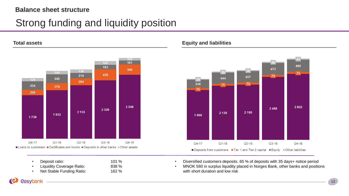#### **Balance sheet structure**

# Strong funding and liquidity position

#### **Total assets**

*<u>Casybank</u>* 



#### **Equity and liabilities**



- Deposit ratio: 101 %
- Liquidity Coverage Ratio: 838 %
- Net Stable Funding Ratio: 162 %
- Diversified customers deposits. 65 % of deposits with 35 days+ notice period
- MNOK 560 in surplus liquidity placed in Norges Bank, other banks and positions with short duration and low risk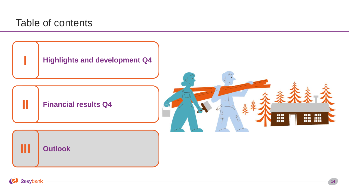# Table of contents



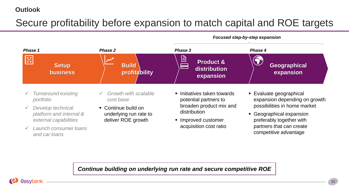### **Outlook**

# Secure profitability before expansion to match capital and ROE targets



- ✓ *Turnaround existing portfolio*
- ✓ *Develop technical platform and internal & external capabilities*
- ✓ *Launch consumer loans and car loans*
- ✓ *Growth with scalable cost base*
- Continue build on underlying run rate to deliver ROE growth
- Initiatives taken towards potential partners to broaden product mix and distribution
- Improved customer acquisition cost ratio
- Evaluate geographical expansion depending on growth possibilities in home market
- Geographical expansion preferably together with partners that can create competitive advantage

*Continue building on underlying run rate and secure competitive ROE* 

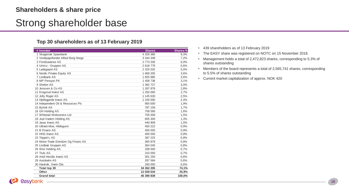#### **Shareholders & share price**

## Strong shareholder base

#### **Top 30 shareholders as of 13 February 2019**

| # Investor                           | <b>Shares</b> | <b>Shares%</b> |
|--------------------------------------|---------------|----------------|
| 1 Skagerrak Sparebank                | 4 329 380     | 9,3%           |
| 2 Verdipapirfondet Alfred Berg Norge | 3 344 349     | 7,2%           |
| 3 Fondsavanse AS                     | 2 773 330     | 6,0%           |
| 4 Umico - Gruppen AS                 | 2618779       | 5,6%           |
| 5 Ladegaard AS                       | 2 325 032     | 5,0%           |
| 6 Nordic Private Equity AS           | 1 669 205     | 3,6%           |
| 7 Lindbank AS                        | 1 655 985     | 3,6%           |
| 8 MP Pension PK                      | 1 458 738     | 3,1%           |
| 9 Shelter AS                         | 1 392 727     | 3,0%           |
| 10 Jenssen & Co AS                   | 1 287 879     | 2,8%           |
| 11 Krogsrud Invest AS                | 1 250 000     | 2,7%           |
| 12 Jolly Roger AS                    | 1 145 630     | 2,5%           |
| 13 Hjellegjerde Invest AS            | 1 100 000     | 2,4%           |
| 14 Independent Oil & Resources Plc   | 900 000       | 1,9%           |
| 15 Byholt AS                         | 787 159       | 1,7%           |
| 16 GH Holding AS                     | 758 590       | 1,6%           |
| 17 Whitetail Webservice Ltd          | 705 009       | 1,5%           |
| 18 Juul-Vadem Holding AS             | 605 300       | 1,3%           |
| 19 Jaras Invest AS                   | 440 909       | 1,0%           |
| 20 Ulltveit-Moe, Hildegunn           | 400 222       | 0,9%           |
| 21 B Finans AS                       | 400 000       | 0.9%           |
| 22 HHG Invest AS                     | 400 000       | 0.9%           |
| 23 Trippel-L AS                      | 387 225       | 0.8%           |
| 24 Motor-Trade Eiendom Og Finans AS  | 365 878       | 0,8%           |
| 25 Lindbak Gruppen AS                | 364 045       | 0,8%           |
| 26 Wist Holding AS                   | 338 000       | 0,7%           |
| 27 Truls AS                          | 310 000       | 0.7%           |
| 28 Arild Hestås Invest AS            | 301 250       | 0.6%           |
| 29 Autobahn AS                       | 287 584       | 0.6%           |
| 30 Haukvik, Svein Ola                | 260 000       | 0.6%           |
| Total top 30                         | 34 362 205    | 74,1%          |
| Other                                | 12 028 634    | 25,9%          |
| <b>Grand total</b>                   | 46 390 839    | 100,0%         |

- 439 shareholders as of 13 February 2019
- The EASY share was registered on NOTC on 15 November 2016.
- Management holds a total of 2,472,823 shares, corresponding to 5.3% of shares outstanding
- Members of the board represents a total of 2,565,741 shares, corresponding to 5.5% of shares outstanding
- Current market capitalization of approx. NOK 420